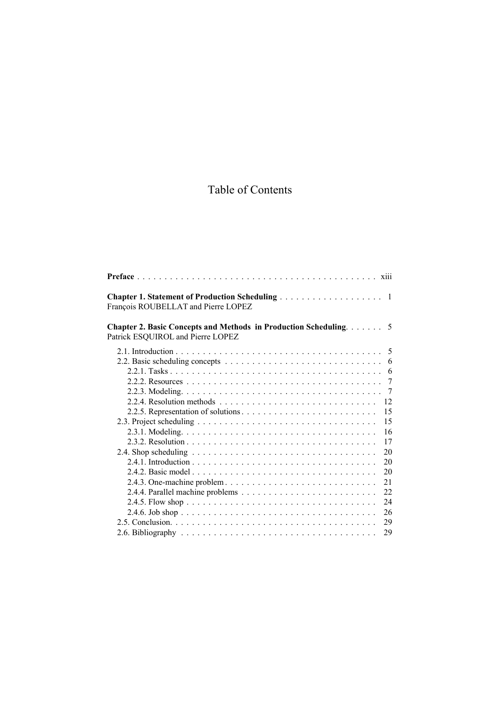## Table of Contents

| François ROUBELLAT and Pierre LOPEZ                                                                           |    |
|---------------------------------------------------------------------------------------------------------------|----|
| <b>Chapter 2. Basic Concepts and Methods in Production Scheduling.</b> 5<br>Patrick ESQUIROL and Pierre LOPEZ |    |
|                                                                                                               |    |
| 2.2. Basic scheduling concepts $\ldots \ldots \ldots \ldots \ldots \ldots \ldots \ldots \ldots \ldots$        |    |
|                                                                                                               | 6  |
|                                                                                                               | 7  |
|                                                                                                               |    |
|                                                                                                               | 12 |
|                                                                                                               | 15 |
|                                                                                                               | 15 |
|                                                                                                               | 16 |
|                                                                                                               | 17 |
|                                                                                                               | 20 |
|                                                                                                               | 20 |
|                                                                                                               | 20 |
|                                                                                                               | 21 |
|                                                                                                               | 22 |
|                                                                                                               | 24 |
|                                                                                                               | 26 |
|                                                                                                               | 29 |
|                                                                                                               | 29 |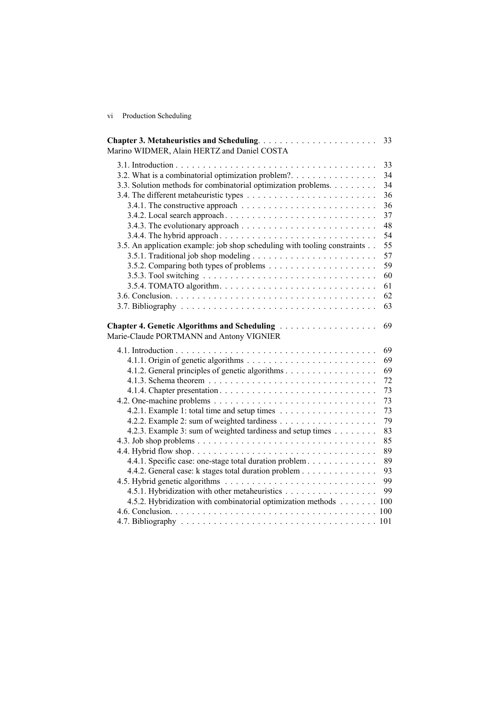vi Production Scheduling

| Marino WIDMER, Alain HERTZ and Daniel COSTA                               | 33 |
|---------------------------------------------------------------------------|----|
|                                                                           | 33 |
| 3.2. What is a combinatorial optimization problem?.                       | 34 |
| 3.3. Solution methods for combinatorial optimization problems.            | 34 |
|                                                                           | 36 |
|                                                                           | 36 |
|                                                                           | 37 |
|                                                                           | 48 |
|                                                                           | 54 |
| 3.5. An application example: job shop scheduling with tooling constraints | 55 |
|                                                                           | 57 |
|                                                                           | 59 |
|                                                                           | 60 |
|                                                                           | 61 |
|                                                                           | 62 |
|                                                                           | 63 |
| Marie-Claude PORTMANN and Antony VIGNIER                                  | 69 |
|                                                                           | 69 |
|                                                                           | 69 |
| 4.1.2. General principles of genetic algorithms                           | 69 |
|                                                                           | 72 |
|                                                                           | 73 |
|                                                                           | 73 |
|                                                                           | 73 |
|                                                                           | 79 |
| 4.2.3. Example 3: sum of weighted tardiness and setup times               | 83 |
|                                                                           | 85 |
|                                                                           | 89 |
| 4.4.1. Specific case: one-stage total duration problem                    | 89 |
| 4.4.2. General case: k stages total duration problem                      | 93 |
|                                                                           | 99 |
| 4.5.1. Hybridization with other metaheuristics                            | 99 |
| 4.5.2. Hybridization with combinatorial optimization methods 100          |    |
|                                                                           |    |
|                                                                           |    |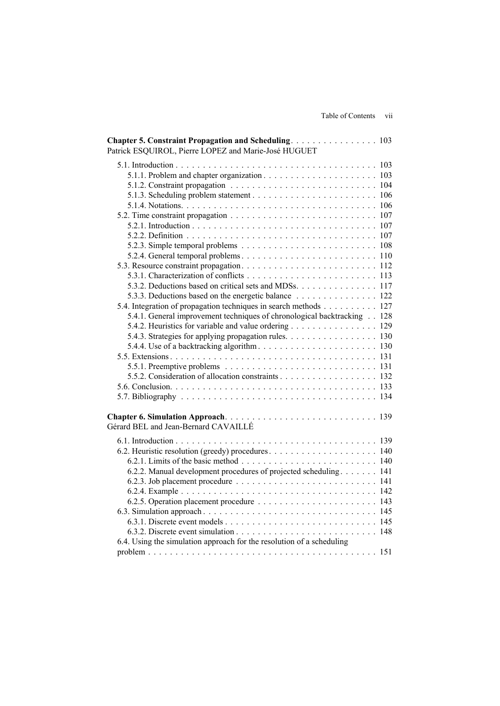| Chapter 5. Constraint Propagation and Scheduling. 103<br>Patrick ESQUIROL, Pierre LOPEZ and Marie-José HUGUET                                                                                                                                                                                                                                                                                                                         |  |
|---------------------------------------------------------------------------------------------------------------------------------------------------------------------------------------------------------------------------------------------------------------------------------------------------------------------------------------------------------------------------------------------------------------------------------------|--|
|                                                                                                                                                                                                                                                                                                                                                                                                                                       |  |
| 5.3.2. Deductions based on critical sets and MDSs. 117<br>5.3.3. Deductions based on the energetic balance 122<br>5.4. Integration of propagation techniques in search methods 127<br>5.4.1. General improvement techniques of chronological backtracking 128<br>5.4.2. Heuristics for variable and value ordering 129<br>5.4.3. Strategies for applying propagation rules. 130<br>5.5.2. Consideration of allocation constraints 132 |  |
|                                                                                                                                                                                                                                                                                                                                                                                                                                       |  |
| Gérard BEL and Jean-Bernard CAVAILLÉ<br>6.2.2. Manual development procedures of projected scheduling 141<br>6.4. Using the simulation approach for the resolution of a scheduling                                                                                                                                                                                                                                                     |  |
|                                                                                                                                                                                                                                                                                                                                                                                                                                       |  |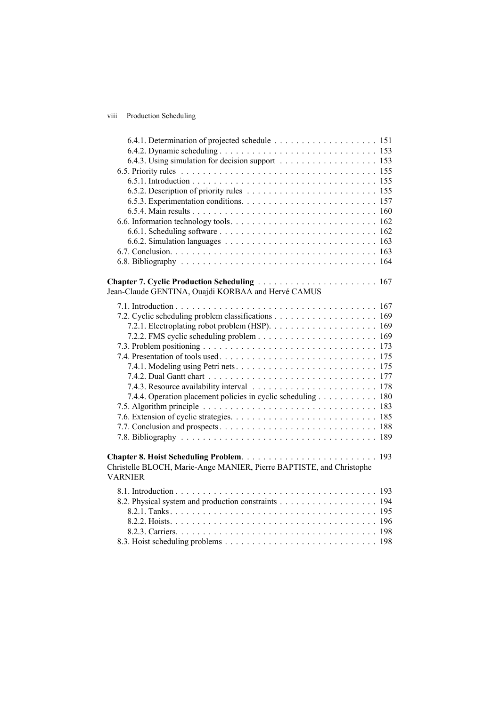## viii Production Scheduling

| Chapter 7. Cyclic Production Scheduling  167                         |
|----------------------------------------------------------------------|
| Jean-Claude GENTINA, Ouajdi KORBAA and Hervé CAMUS                   |
|                                                                      |
|                                                                      |
|                                                                      |
|                                                                      |
|                                                                      |
|                                                                      |
|                                                                      |
|                                                                      |
|                                                                      |
| 7.4.4. Operation placement policies in cyclic scheduling 180         |
|                                                                      |
|                                                                      |
|                                                                      |
|                                                                      |
|                                                                      |
|                                                                      |
| Christelle BLOCH, Marie-Ange MANIER, Pierre BAPTISTE, and Christophe |
| <b>VARNIER</b>                                                       |
|                                                                      |
|                                                                      |
| 8.2. Physical system and production constraints 194                  |
|                                                                      |
|                                                                      |
|                                                                      |
|                                                                      |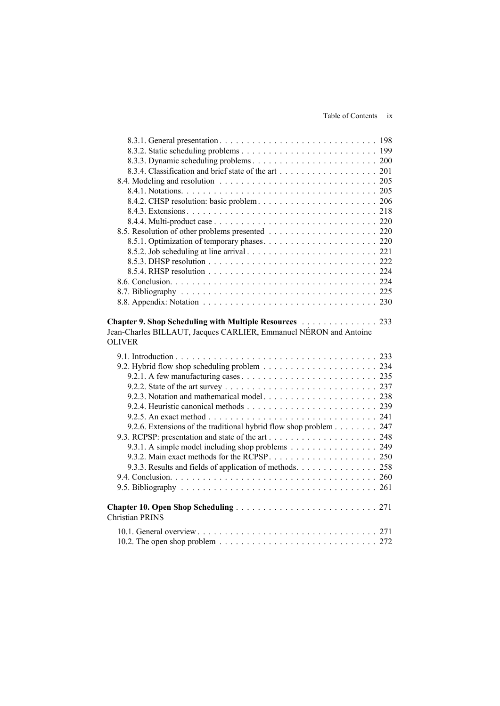| Chapter 9. Shop Scheduling with Multiple Resources 233                                           |  |
|--------------------------------------------------------------------------------------------------|--|
| Jean-Charles BILLAUT, Jacques CARLIER, Emmanuel NÉRON and Antoine                                |  |
| <b>OLIVER</b>                                                                                    |  |
|                                                                                                  |  |
|                                                                                                  |  |
|                                                                                                  |  |
|                                                                                                  |  |
|                                                                                                  |  |
|                                                                                                  |  |
|                                                                                                  |  |
|                                                                                                  |  |
|                                                                                                  |  |
| 9.2.6. Extensions of the traditional hybrid flow shop problem 247                                |  |
|                                                                                                  |  |
| 9.3.1. A simple model including shop problems 249                                                |  |
|                                                                                                  |  |
| 9.3.3. Results and fields of application of methods. 258                                         |  |
|                                                                                                  |  |
|                                                                                                  |  |
|                                                                                                  |  |
|                                                                                                  |  |
| <b>Christian PRINS</b>                                                                           |  |
| 10.2. The open shop problem $\ldots \ldots \ldots \ldots \ldots \ldots \ldots \ldots \ldots 272$ |  |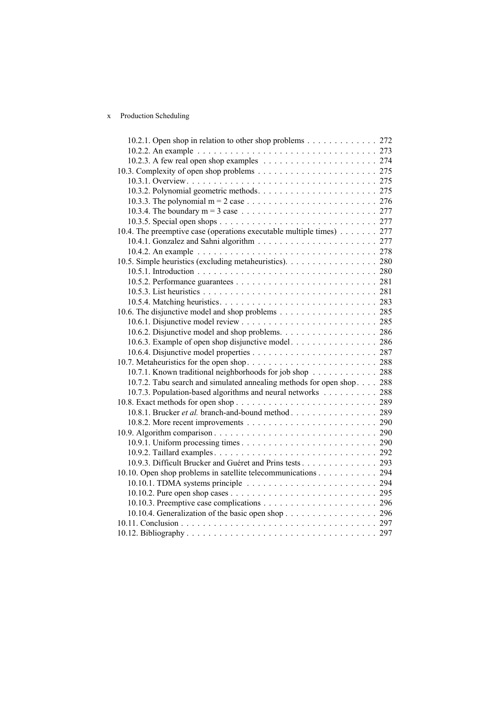## x Production Scheduling

| 10.2.1. Open shop in relation to other shop problems 272              |  |
|-----------------------------------------------------------------------|--|
|                                                                       |  |
|                                                                       |  |
|                                                                       |  |
|                                                                       |  |
|                                                                       |  |
|                                                                       |  |
|                                                                       |  |
|                                                                       |  |
| 10.4. The preemptive case (operations executable multiple times) 277  |  |
|                                                                       |  |
|                                                                       |  |
| 10.5. Simple heuristics (excluding metaheuristics). 280               |  |
|                                                                       |  |
|                                                                       |  |
|                                                                       |  |
|                                                                       |  |
| 10.6. The disjunctive model and shop problems 285                     |  |
|                                                                       |  |
|                                                                       |  |
|                                                                       |  |
|                                                                       |  |
|                                                                       |  |
| 10.7.1. Known traditional neighborhoods for job shop 288              |  |
| 10.7.2. Tabu search and simulated annealing methods for open shop 288 |  |
| 10.7.3. Population-based algorithms and neural networks 288           |  |
|                                                                       |  |
| 10.8.1. Brucker et al. branch-and-bound method 289                    |  |
|                                                                       |  |
|                                                                       |  |
|                                                                       |  |
|                                                                       |  |
| 10.9.3. Difficult Brucker and Guéret and Prins tests 293              |  |
| 10.10. Open shop problems in satellite telecommunications 294         |  |
|                                                                       |  |
|                                                                       |  |
|                                                                       |  |
| 10.10.4. Generalization of the basic open shop 296                    |  |
|                                                                       |  |
|                                                                       |  |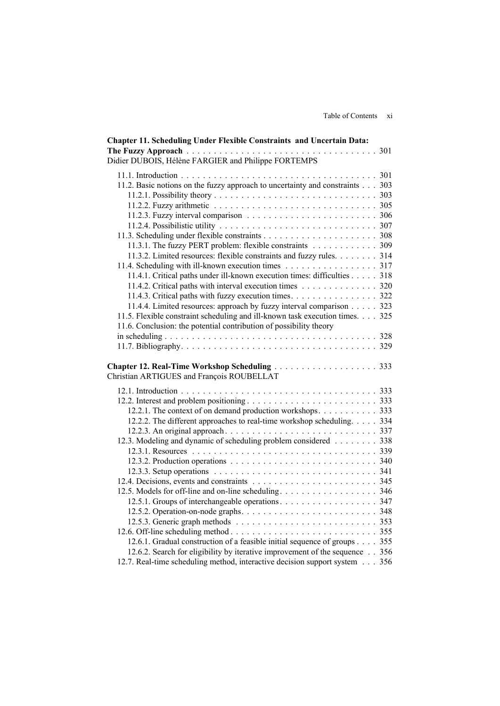| <b>Chapter 11. Scheduling Under Flexible Constraints and Uncertain Data:</b> |  |
|------------------------------------------------------------------------------|--|
|                                                                              |  |
| Didier DUBOIS, Hélène FARGIER and Philippe FORTEMPS                          |  |
|                                                                              |  |
| 11.2. Basic notions on the fuzzy approach to uncertainty and constraints 303 |  |
|                                                                              |  |
|                                                                              |  |
|                                                                              |  |
|                                                                              |  |
|                                                                              |  |
| 11.3.1. The fuzzy PERT problem: flexible constraints 309                     |  |
| 11.3.2. Limited resources: flexible constraints and fuzzy rules. 314         |  |
| 11.4. Scheduling with ill-known execution times 317                          |  |
| 11.4.1. Critical paths under ill-known execution times: difficulties 318     |  |
| 11.4.2. Critical paths with interval execution times 320                     |  |
| 11.4.3. Critical paths with fuzzy execution times. 322                       |  |
| 11.4.4. Limited resources: approach by fuzzy interval comparison 323         |  |
| 11.5. Flexible constraint scheduling and ill-known task execution times. 325 |  |
| 11.6. Conclusion: the potential contribution of possibility theory           |  |
|                                                                              |  |
|                                                                              |  |
|                                                                              |  |
|                                                                              |  |
| Christian ARTIGUES and François ROUBELLAT                                    |  |
|                                                                              |  |
|                                                                              |  |
| 12.2.1. The context of on demand production workshops 333                    |  |
| 12.2.2. The different approaches to real-time workshop scheduling. 334       |  |
|                                                                              |  |
| 12.3. Modeling and dynamic of scheduling problem considered 338              |  |
|                                                                              |  |
|                                                                              |  |
|                                                                              |  |
|                                                                              |  |
|                                                                              |  |
|                                                                              |  |
|                                                                              |  |
|                                                                              |  |
|                                                                              |  |
|                                                                              |  |
| 12.6.1. Gradual construction of a feasible initial sequence of groups 355    |  |
| 12.6.2. Search for eligibility by iterative improvement of the sequence 356  |  |